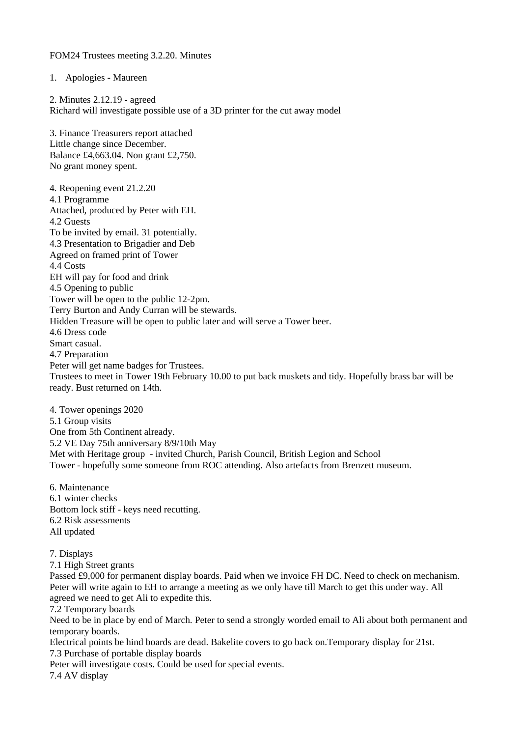FOM24 Trustees meeting 3.2.20. Minutes

1. Apologies - Maureen

2. Minutes 2.12.19 - agreed Richard will investigate possible use of a 3D printer for the cut away model 3. Finance Treasurers report attached Little change since December. Balance £4,663.04. Non grant £2,750. No grant money spent. 4. Reopening event 21.2.20 4.1 Programme Attached, produced by Peter with EH. 4.2 Guests To be invited by email. 31 potentially. 4.3 Presentation to Brigadier and Deb Agreed on framed print of Tower 4.4 Costs EH will pay for food and drink 4.5 Opening to public Tower will be open to the public 12-2pm. Terry Burton and Andy Curran will be stewards. Hidden Treasure will be open to public later and will serve a Tower beer. 4.6 Dress code Smart casual. 4.7 Preparation Peter will get name badges for Trustees. Trustees to meet in Tower 19th February 10.00 to put back muskets and tidy. Hopefully brass bar will be ready. Bust returned on 14th.

4. Tower openings 2020 5.1 Group visits One from 5th Continent already. 5.2 VE Day 75th anniversary 8/9/10th May Met with Heritage group - invited Church, Parish Council, British Legion and School Tower - hopefully some someone from ROC attending. Also artefacts from Brenzett museum.

6. Maintenance 6.1 winter checks Bottom lock stiff - keys need recutting. 6.2 Risk assessments All updated

7. Displays

7.1 High Street grants

Passed £9,000 for permanent display boards. Paid when we invoice FH DC. Need to check on mechanism. Peter will write again to EH to arrange a meeting as we only have till March to get this under way. All agreed we need to get Ali to expedite this.

7.2 Temporary boards

Need to be in place by end of March. Peter to send a strongly worded email to Ali about both permanent and temporary boards.

Electrical points be hind boards are dead. Bakelite covers to go back on.Temporary display for 21st. 7.3 Purchase of portable display boards

Peter will investigate costs. Could be used for special events.

7.4 AV display